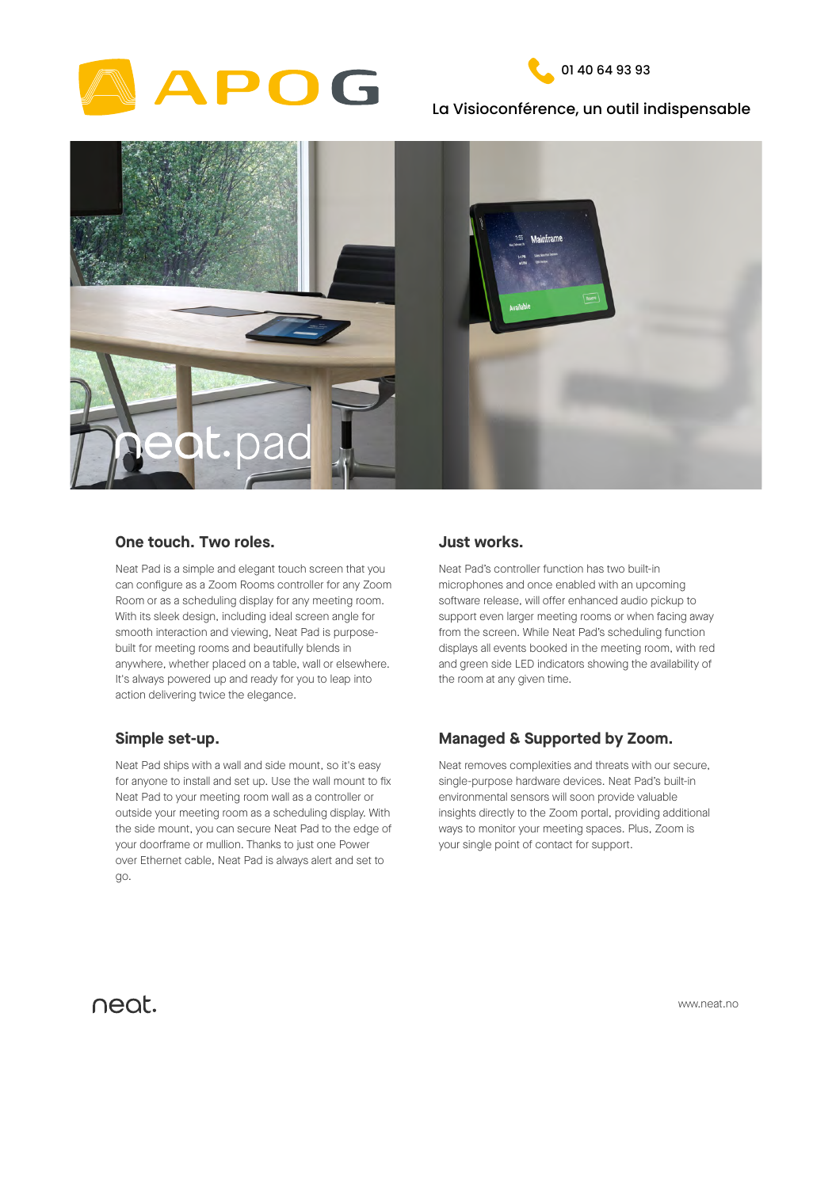



## La Visioconférence, un outil indispensable



Neat Pad is a simple and elegant touch screen that you can configure as a Zoom Rooms controller for any Zoom Room or as a scheduling display for any meeting room.

> support even larger meeting rooms or when facing away from the screen. While Neat Pad's scheduling function displays all events booked in the meeting room, with red and green side LED indicators showing the availability of the room at any given time.

With its sleek design, including ideal screen angle for smooth interaction and viewing, Neat Pad is purposebuilt for meeting rooms and beautifully blends in anywhere, whether placed on a table, wall or elsewhere. It's always powered up and ready for you to leap into action delivering twice the elegance.

### **One touch. Two roles.**

Neat Pad's controller function has two built-in microphones and once enabled with an upcoming software release, will offer enhanced audio pickup to

## **Just works.**

Neat removes complexities and threats with our secure, single-purpose hardware devices. Neat Pad's built-in environmental sensors will soon provide valuable insights directly to the Zoom portal, providing additional ways to monitor your meeting spaces. Plus, Zoom is your single point of contact for support.

# **Managed & Supported by Zoom.**

Neat Pad ships with a wall and side mount, so it's easy for anyone to install and set up. Use the wall mount to fix Neat Pad to your meeting room wall as a controller or outside your meeting room as a scheduling display. With the side mount, you can secure Neat Pad to the edge of your doorframe or mullion. Thanks to just one Power over Ethernet cable, Neat Pad is always alert and set to

# neat.

## **Simple set-up.**

www.neat.no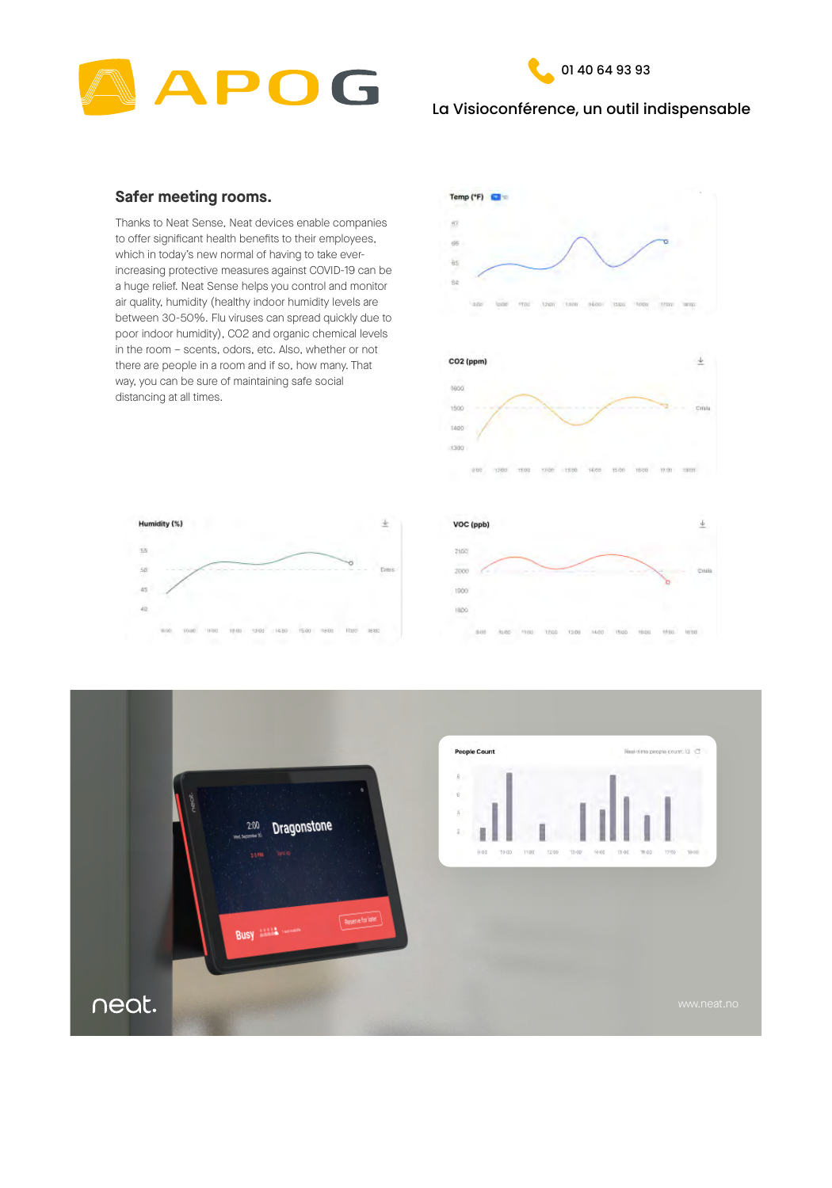



# La Visioconférence, un outil indispensable

Thanks to Neat Sense, Neat devices enable companies to offer significant health benefits to their employees, which in today's new normal of having to take everincreasing protective measures against COVID-19 can be a huge relief. Neat Sense helps you control and monitor air quality, humidity (healthy indoor humidity levels are between 30-50%. Flu viruses can spread quickly due to poor indoor humidity), CO2 and organic chemical levels in the room – scents, odors, etc. Also, whether or not there are people in a room and if so, how many. That way, you can be sure of maintaining safe social distancing at all times.









|  |  | 10:30 10:30 11:30 11:01 12:00 14:00 15:00 19:00 17:03 18:00 |  |  |  |  |  |  |  | 8/08 10:00 11:00 12:00 13:00 14:00 15:00 16:00 17:00 18:00 |  |
|--|--|-------------------------------------------------------------|--|--|--|--|--|--|--|------------------------------------------------------------|--|

## **Safer meeting rooms.**